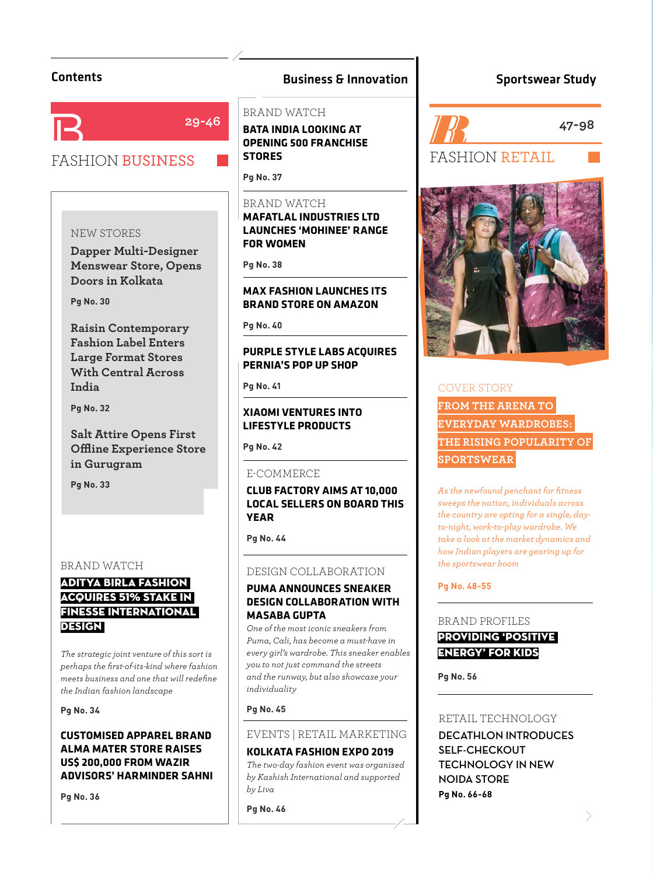

# **29-46**

# FASHION BUSINESS

### NEW STORES

**Dapper Multi-Designer Menswear Store, Opens Doors in Kolkata**

**Pg No. 30**

**Raisin Contemporary Fashion Label Enters Large Format Stores With Central Across India** 

**Pa No. 32 Pg No. 32**

**Salt Attire Opens First Offl ine Experience Store in Gurugram** 

**Pa No. 33 Pg No. 33**

#### BRAND WATCH

# ADITYA BIRLA FASHION ACQUIRES 51% STAKE IN FINESSE INTERNATIONAL DESIGN

*The strategic joint venture of this sort is perhaps the fi rst-of-its-kind where fashion meets business and one that will redefi ne the Indian fashion landscape*

**Pg No. 34**

### **CUSTOMISED APPAREL BRAND ALMA MATER STORE RAISES US\$ 200,000 FROM WAZIR ADVISORS' HARMINDER SAHNI**

**Pg No. 36**

# Contents **Contents Business & Innovation**

#### BRAND WATCH

**RATA INDIA I OOKING AT BPENING 500 FRANCHISE STORES** 

**Pa No. 37 Pg No. 37**

#### BRAND WATCH

**MAFATLAL INDUSTRIES LTD LAUNCHES 'MOHINEE' RANGE FOR WOMEN** 

**Pa No. 38 Pg No. 38**

# **MAX FASHION LAUNCHES ITS BRAND STORE ON AMAZON**

**Pg No. 40**

# **PURPLE STYLE LABS ACOUIRES PERNIA'S POP UP SHOP**

**Pg** No. 41

# **XIAOMI VENTURES INTO LIFESTYLE PRODUCTS**

**Pa No. 42 Pg No. 42**

#### E-COMMERCE

# **CLUB FACTORY AIMS AT 10,000 LOCAL SEAR**

**Pg No. 44**

# DESIGN COLLABORATION

## **PUMA ANNOUNCES SNEAKER DESIGN COLLABORATION WITH MASABA GUPTA**

**MASABA GUPTA**  *One of the most iconic sneakers from Puma, Cali, has become a must-have in every girl's wardrobe. This sneaker enables you to not just command the streets and the runway, but also showcase your individuality*

**Pg No. 45**

# EVENTS | RETAIL MARKETING

#### **KOLKATA FASHION EXPO 2019**

**KOLKATA FASHION EXPO 2019** *The two-day fashion event was organised by Kashish International and supported by Liva*

**Pg No. 46**

# Sportswear Study

FASHION RETAIL **47-98**



# COVER STORY **FROM THE ARENA TO EVERYDAY WARDROBES: THE RISING POPULARITY OF SPORTSWEAR**

*As the newfound penchant for fi tness sweeps the nation, individuals across the country are opting for a single, dayto-night, work-to-play wardrobe. We take a look at the market dynamics and how Indian players are gearing up for the sportswear boom*

**Pg No. 48-55**

#### BRAND PROFILES

# PROVIDING 'POSITIVE ENERGY' FOR KIDS

**Pg No. 56**

#### RETAIL TECHNOLOGY

**DECATHLON INTRODUCES SELF-CHECKOUT TECHNOLOGY IN NEW NOIDA STORE Pg No. 66-68**